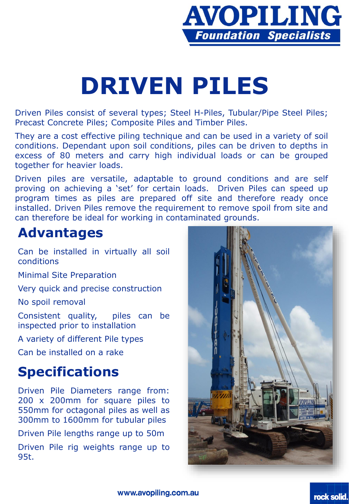

# **DRIVEN PILES**

Driven Piles consist of several types; Steel H-Piles, Tubular/Pipe Steel Piles; Precast Concrete Piles; Composite Piles and Timber Piles.

They are a cost effective piling technique and can be used in a variety of soil conditions. Dependant upon soil conditions, piles can be driven to depths in excess of 80 meters and carry high individual loads or can be grouped together for heavier loads.

Driven piles are versatile, adaptable to ground conditions and are self proving on achieving a 'set' for certain loads. Driven Piles can speed up program times as piles are prepared off site and therefore ready once installed. Driven Piles remove the requirement to remove spoil from site and can therefore be ideal for working in contaminated grounds.

### **Advantages**

Can be installed in virtually all soil conditions

Minimal Site Preparation

Very quick and precise construction

No spoil removal

Consistent quality, piles can be inspected prior to installation

A variety of different Pile types

Can be installed on a rake

### **Specifications**

Driven Pile Diameters range from: 200 x 200mm for square piles to 550mm for octagonal piles as well as 300mm to 1600mm for tubular piles

Driven Pile lengths range up to 50m

Driven Pile rig weights range up to 95t.